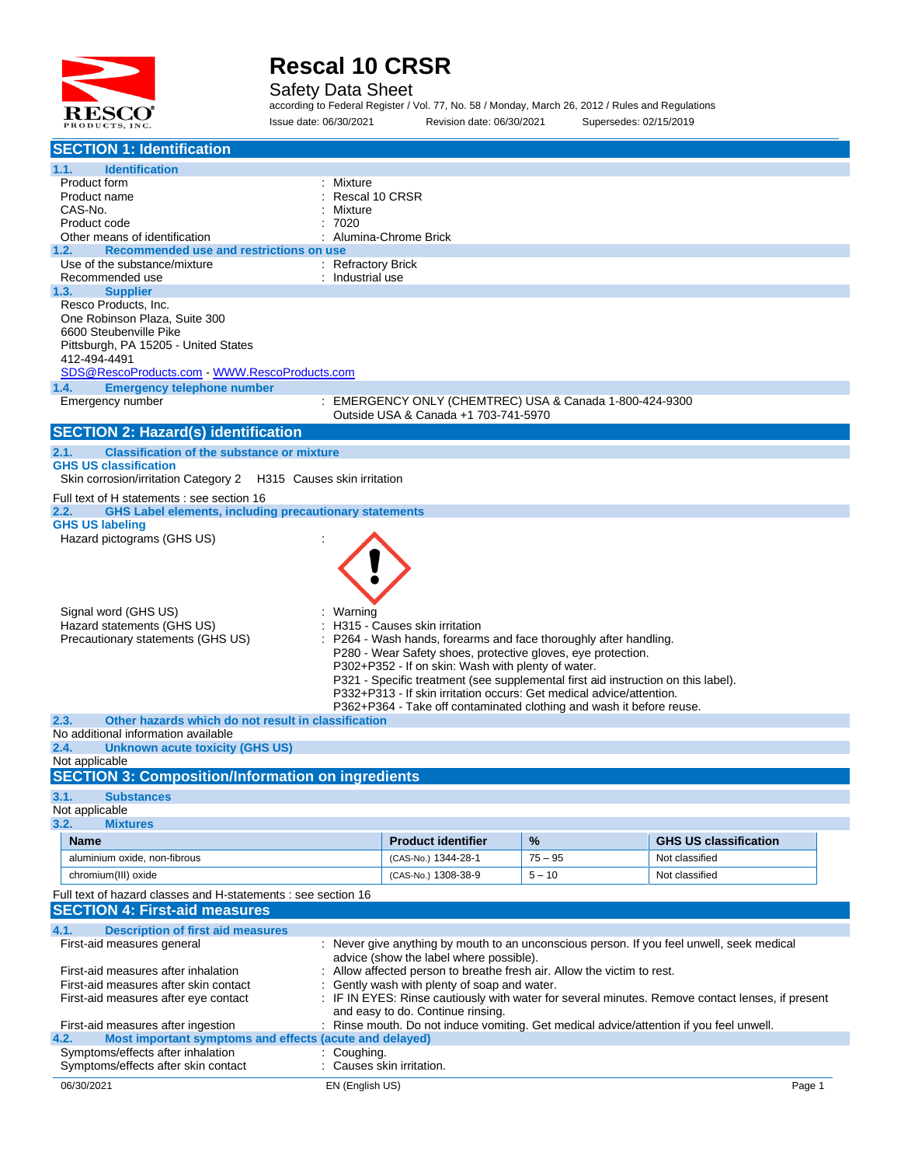

Safety Data Sheet

according to Federal Register / Vol. 77, No. 58 / Monday, March 26, 2012 / Rules and Regulations Issue date: 06/30/2021 Revision date: 06/30/2021 Supersedes: 02/15/2019

| <b>SECTION 1: Identification</b>                                                                   |                                        |                                                                                                                    |           |                                                                                                |        |
|----------------------------------------------------------------------------------------------------|----------------------------------------|--------------------------------------------------------------------------------------------------------------------|-----------|------------------------------------------------------------------------------------------------|--------|
| 1.1.<br><b>Identification</b>                                                                      |                                        |                                                                                                                    |           |                                                                                                |        |
| Product form                                                                                       | Mixture                                |                                                                                                                    |           |                                                                                                |        |
| Product name<br>CAS-No.                                                                            | Rescal 10 CRSR<br>Mixture              |                                                                                                                    |           |                                                                                                |        |
| Product code                                                                                       | 7020                                   |                                                                                                                    |           |                                                                                                |        |
| Other means of identification                                                                      |                                        | Alumina-Chrome Brick                                                                                               |           |                                                                                                |        |
| Recommended use and restrictions on use<br>1.2.                                                    |                                        |                                                                                                                    |           |                                                                                                |        |
| Use of the substance/mixture<br>Recommended use                                                    | : Refractory Brick<br>: Industrial use |                                                                                                                    |           |                                                                                                |        |
| <b>Supplier</b><br>1.3.                                                                            |                                        |                                                                                                                    |           |                                                                                                |        |
| Resco Products, Inc.                                                                               |                                        |                                                                                                                    |           |                                                                                                |        |
| One Robinson Plaza, Suite 300                                                                      |                                        |                                                                                                                    |           |                                                                                                |        |
| 6600 Steubenville Pike                                                                             |                                        |                                                                                                                    |           |                                                                                                |        |
| Pittsburgh, PA 15205 - United States<br>412-494-4491                                               |                                        |                                                                                                                    |           |                                                                                                |        |
| SDS@RescoProducts.com - WWW.RescoProducts.com                                                      |                                        |                                                                                                                    |           |                                                                                                |        |
| <b>Emergency telephone number</b><br>1.4.                                                          |                                        |                                                                                                                    |           |                                                                                                |        |
| Emergency number                                                                                   |                                        | : EMERGENCY ONLY (CHEMTREC) USA & Canada 1-800-424-9300                                                            |           |                                                                                                |        |
|                                                                                                    |                                        | Outside USA & Canada +1 703-741-5970                                                                               |           |                                                                                                |        |
| <b>SECTION 2: Hazard(s) identification</b>                                                         |                                        |                                                                                                                    |           |                                                                                                |        |
| 2.1.<br><b>Classification of the substance or mixture</b>                                          |                                        |                                                                                                                    |           |                                                                                                |        |
| <b>GHS US classification</b>                                                                       |                                        |                                                                                                                    |           |                                                                                                |        |
| Skin corrosion/irritation Category 2 H315 Causes skin irritation                                   |                                        |                                                                                                                    |           |                                                                                                |        |
| Full text of H statements : see section 16                                                         |                                        |                                                                                                                    |           |                                                                                                |        |
| 2.2.<br><b>GHS Label elements, including precautionary statements</b>                              |                                        |                                                                                                                    |           |                                                                                                |        |
| <b>GHS US labeling</b><br>Hazard pictograms (GHS US)                                               |                                        |                                                                                                                    |           |                                                                                                |        |
|                                                                                                    |                                        |                                                                                                                    |           |                                                                                                |        |
|                                                                                                    |                                        |                                                                                                                    |           |                                                                                                |        |
|                                                                                                    |                                        |                                                                                                                    |           |                                                                                                |        |
|                                                                                                    |                                        |                                                                                                                    |           |                                                                                                |        |
| Signal word (GHS US)                                                                               | Warning                                |                                                                                                                    |           |                                                                                                |        |
| Hazard statements (GHS US)                                                                         |                                        | H315 - Causes skin irritation                                                                                      |           |                                                                                                |        |
| Precautionary statements (GHS US)                                                                  |                                        | P264 - Wash hands, forearms and face thoroughly after handling.                                                    |           |                                                                                                |        |
|                                                                                                    |                                        | P280 - Wear Safety shoes, protective gloves, eye protection.<br>P302+P352 - If on skin: Wash with plenty of water. |           |                                                                                                |        |
|                                                                                                    |                                        |                                                                                                                    |           | P321 - Specific treatment (see supplemental first aid instruction on this label).              |        |
|                                                                                                    |                                        | P332+P313 - If skin irritation occurs: Get medical advice/attention.                                               |           |                                                                                                |        |
|                                                                                                    |                                        | P362+P364 - Take off contaminated clothing and wash it before reuse.                                               |           |                                                                                                |        |
| 2.3.<br>Other hazards which do not result in classification<br>No additional information available |                                        |                                                                                                                    |           |                                                                                                |        |
| 2.4.<br><b>Unknown acute toxicity (GHS US)</b>                                                     |                                        |                                                                                                                    |           |                                                                                                |        |
| Not applicable                                                                                     |                                        |                                                                                                                    |           |                                                                                                |        |
| <b>SECTION 3: Composition/Information on ingredients</b>                                           |                                        |                                                                                                                    |           |                                                                                                |        |
| 3.1.<br><b>Substances</b>                                                                          |                                        |                                                                                                                    |           |                                                                                                |        |
| Not applicable                                                                                     |                                        |                                                                                                                    |           |                                                                                                |        |
| 3.2.<br><b>Mixtures</b>                                                                            |                                        |                                                                                                                    |           |                                                                                                |        |
| Name                                                                                               |                                        | <b>Product identifier</b>                                                                                          | $\%$      | <b>GHS US classification</b>                                                                   |        |
| aluminium oxide, non-fibrous                                                                       |                                        | (CAS-No.) 1344-28-1                                                                                                | $75 - 95$ | Not classified                                                                                 |        |
| chromium(III) oxide                                                                                |                                        | (CAS-No.) 1308-38-9                                                                                                | $5 - 10$  | Not classified                                                                                 |        |
| Full text of hazard classes and H-statements : see section 16                                      |                                        |                                                                                                                    |           |                                                                                                |        |
| <b>SECTION 4: First-aid measures</b>                                                               |                                        |                                                                                                                    |           |                                                                                                |        |
| 4.1.<br><b>Description of first aid measures</b>                                                   |                                        |                                                                                                                    |           |                                                                                                |        |
| First-aid measures general                                                                         |                                        |                                                                                                                    |           | : Never give anything by mouth to an unconscious person. If you feel unwell, seek medical      |        |
|                                                                                                    |                                        | advice (show the label where possible).                                                                            |           |                                                                                                |        |
| First-aid measures after inhalation                                                                |                                        | Allow affected person to breathe fresh air. Allow the victim to rest.                                              |           |                                                                                                |        |
| First-aid measures after skin contact                                                              |                                        | Gently wash with plenty of soap and water.                                                                         |           |                                                                                                |        |
| First-aid measures after eye contact                                                               |                                        | and easy to do. Continue rinsing.                                                                                  |           | IF IN EYES: Rinse cautiously with water for several minutes. Remove contact lenses, if present |        |
| First-aid measures after ingestion                                                                 |                                        |                                                                                                                    |           | Rinse mouth. Do not induce vomiting. Get medical advice/attention if you feel unwell.          |        |
| Most important symptoms and effects (acute and delayed)<br>4.2.                                    |                                        |                                                                                                                    |           |                                                                                                |        |
| Symptoms/effects after inhalation                                                                  | Coughing.                              |                                                                                                                    |           |                                                                                                |        |
| Symptoms/effects after skin contact                                                                |                                        | Causes skin irritation.                                                                                            |           |                                                                                                |        |
| 06/30/2021                                                                                         | EN (English US)                        |                                                                                                                    |           |                                                                                                | Page 1 |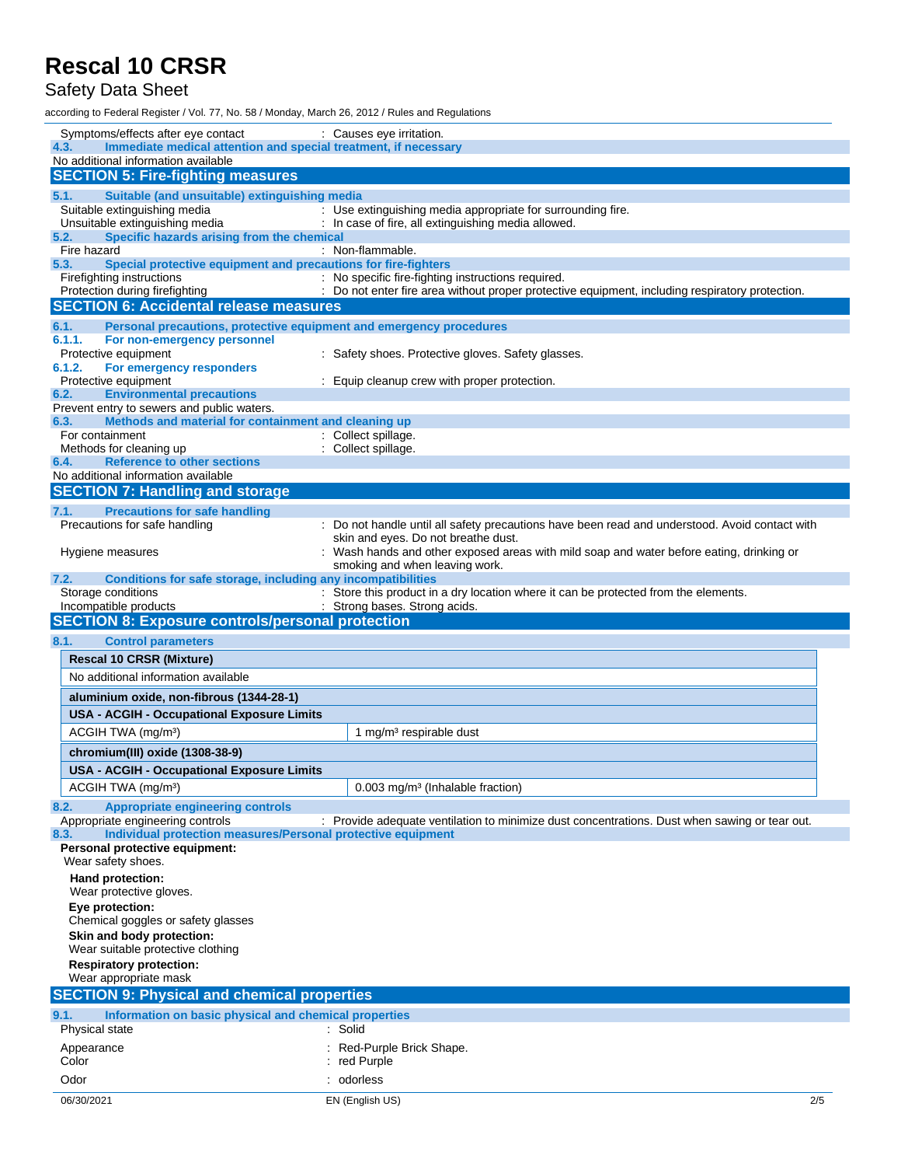#### Safety Data Sheet

according to Federal Register / Vol. 77, No. 58 / Monday, March 26, 2012 / Rules and Regulations

| Symptoms/effects after eye contact                                                                         | : Causes eye irritation.                                                                        |     |
|------------------------------------------------------------------------------------------------------------|-------------------------------------------------------------------------------------------------|-----|
| Immediate medical attention and special treatment, if necessary<br>4.3.                                    |                                                                                                 |     |
| No additional information available<br><b>SECTION 5: Fire-fighting measures</b>                            |                                                                                                 |     |
| Suitable (and unsuitable) extinguishing media<br>5.1.                                                      |                                                                                                 |     |
| Suitable extinguishing media                                                                               | : Use extinguishing media appropriate for surrounding fire.                                     |     |
| Unsuitable extinguishing media                                                                             | : In case of fire, all extinguishing media allowed.                                             |     |
| Specific hazards arising from the chemical<br>5.2.                                                         |                                                                                                 |     |
| Fire hazard<br>Special protective equipment and precautions for fire-fighters<br>5.3.                      | : Non-flammable.                                                                                |     |
| Firefighting instructions                                                                                  | : No specific fire-fighting instructions required.                                              |     |
| Protection during firefighting                                                                             | : Do not enter fire area without proper protective equipment, including respiratory protection. |     |
| <b>SECTION 6: Accidental release measures</b>                                                              |                                                                                                 |     |
| 6.1.                                                                                                       | Personal precautions, protective equipment and emergency procedures                             |     |
| 6.1.1.<br>For non-emergency personnel                                                                      |                                                                                                 |     |
| Protective equipment<br>6.1.2.<br>For emergency responders                                                 | : Safety shoes. Protective gloves. Safety glasses.                                              |     |
| Protective equipment                                                                                       | : Equip cleanup crew with proper protection.                                                    |     |
| <b>Environmental precautions</b><br>6.2.                                                                   |                                                                                                 |     |
| Prevent entry to sewers and public waters.<br>Methods and material for containment and cleaning up<br>6.3. |                                                                                                 |     |
| For containment                                                                                            | : Collect spillage.                                                                             |     |
| Methods for cleaning up                                                                                    | : Collect spillage.                                                                             |     |
| <b>Reference to other sections</b><br>6.4.                                                                 |                                                                                                 |     |
| No additional information available<br><b>SECTION 7: Handling and storage</b>                              |                                                                                                 |     |
|                                                                                                            |                                                                                                 |     |
| 7.1.<br><b>Precautions for safe handling</b><br>Precautions for safe handling                              | : Do not handle until all safety precautions have been read and understood. Avoid contact with  |     |
|                                                                                                            | skin and eyes. Do not breathe dust.                                                             |     |
| Hygiene measures                                                                                           | : Wash hands and other exposed areas with mild soap and water before eating, drinking or        |     |
|                                                                                                            | smoking and when leaving work.                                                                  |     |
| Conditions for safe storage, including any incompatibilities<br>7.2.<br>Storage conditions                 | : Store this product in a dry location where it can be protected from the elements.             |     |
| Incompatible products                                                                                      | : Strong bases. Strong acids.                                                                   |     |
|                                                                                                            |                                                                                                 |     |
| <b>SECTION 8: Exposure controls/personal protection</b>                                                    |                                                                                                 |     |
| 8.1.<br><b>Control parameters</b>                                                                          |                                                                                                 |     |
| <b>Rescal 10 CRSR (Mixture)</b>                                                                            |                                                                                                 |     |
| No additional information available                                                                        |                                                                                                 |     |
|                                                                                                            |                                                                                                 |     |
| aluminium oxide, non-fibrous (1344-28-1)                                                                   |                                                                                                 |     |
| <b>USA - ACGIH - Occupational Exposure Limits</b>                                                          |                                                                                                 |     |
| ACGIH TWA (mg/m <sup>3</sup> )                                                                             | 1 mg/m <sup>3</sup> respirable dust                                                             |     |
| chromium(III) oxide (1308-38-9)                                                                            |                                                                                                 |     |
| <b>USA - ACGIH - Occupational Exposure Limits</b>                                                          |                                                                                                 |     |
| ACGIH TWA (mg/m <sup>3</sup> )                                                                             | 0.003 mg/m <sup>3</sup> (Inhalable fraction)                                                    |     |
| 8.2.<br><b>Appropriate engineering controls</b>                                                            |                                                                                                 |     |
| Appropriate engineering controls<br>Individual protection measures/Personal protective equipment<br>8.3.   | : Provide adequate ventilation to minimize dust concentrations. Dust when sawing or tear out.   |     |
| Personal protective equipment:                                                                             |                                                                                                 |     |
| Wear safety shoes.                                                                                         |                                                                                                 |     |
| Hand protection:                                                                                           |                                                                                                 |     |
| Wear protective gloves.                                                                                    |                                                                                                 |     |
| Eye protection:<br>Chemical goggles or safety glasses                                                      |                                                                                                 |     |
| Skin and body protection:                                                                                  |                                                                                                 |     |
| Wear suitable protective clothing                                                                          |                                                                                                 |     |
| <b>Respiratory protection:</b>                                                                             |                                                                                                 |     |
| Wear appropriate mask                                                                                      |                                                                                                 |     |
| <b>SECTION 9: Physical and chemical properties</b>                                                         |                                                                                                 |     |
| Information on basic physical and chemical properties<br>9.1.                                              |                                                                                                 |     |
| Physical state                                                                                             | : Solid                                                                                         |     |
| Appearance<br>Color                                                                                        | : Red-Purple Brick Shape.                                                                       |     |
|                                                                                                            | $:$ red Purple                                                                                  |     |
| Odor<br>06/30/2021                                                                                         | : odorless<br>EN (English US)                                                                   | 2/5 |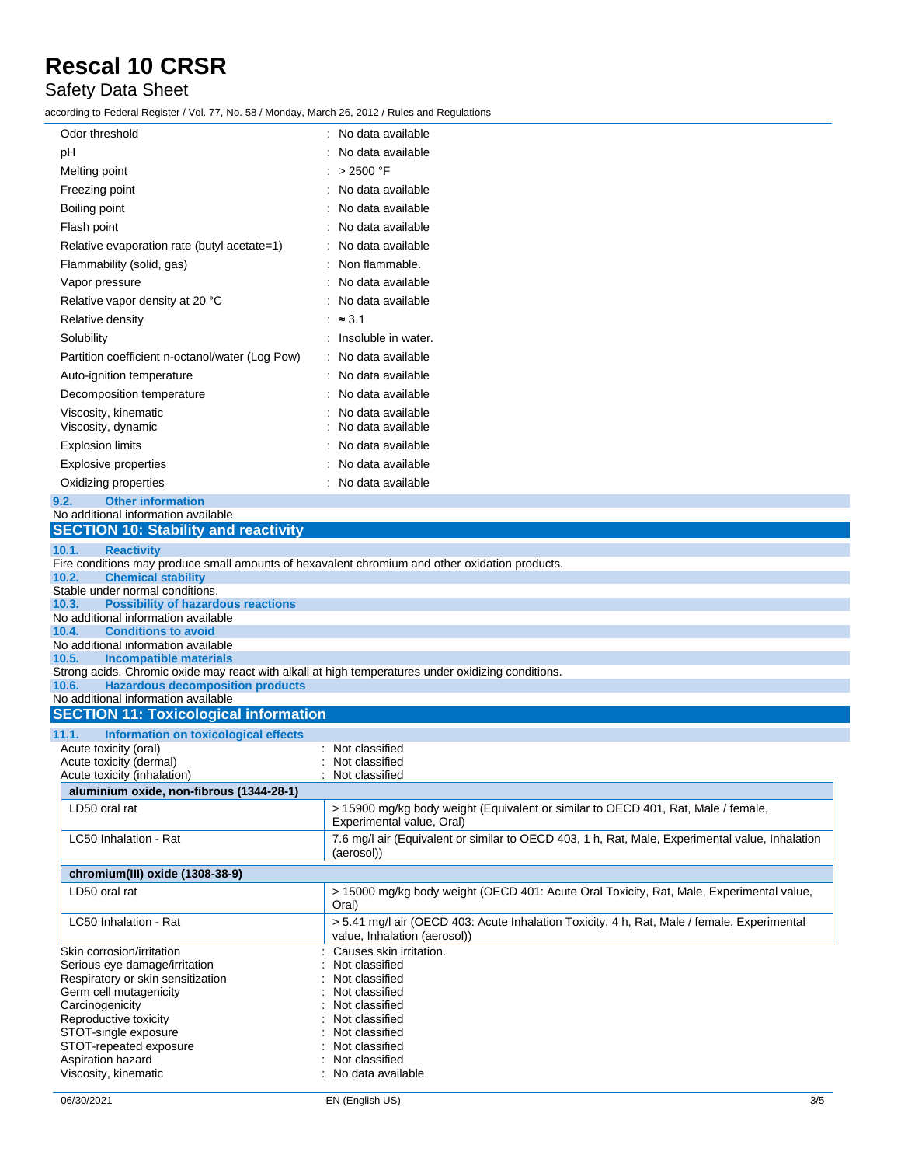#### Safety Data Sheet

according to Federal Register / Vol. 77, No. 58 / Monday, March 26, 2012 / Rules and Regulations

| Odor threshold                                                                                     | : No data available                                                                                                         |
|----------------------------------------------------------------------------------------------------|-----------------------------------------------------------------------------------------------------------------------------|
| pH                                                                                                 | No data available                                                                                                           |
| Melting point                                                                                      | : $>2500$ °F                                                                                                                |
| Freezing point                                                                                     | : No data available                                                                                                         |
| Boiling point                                                                                      | No data available                                                                                                           |
| Flash point                                                                                        | No data available                                                                                                           |
| Relative evaporation rate (butyl acetate=1)                                                        | No data available                                                                                                           |
| Flammability (solid, gas)                                                                          | Non flammable.                                                                                                              |
| Vapor pressure                                                                                     | No data available                                                                                                           |
| Relative vapor density at 20 °C                                                                    | : No data available                                                                                                         |
| Relative density                                                                                   | $\approx$ 3.1                                                                                                               |
| Solubility                                                                                         | : Insoluble in water.                                                                                                       |
| Partition coefficient n-octanol/water (Log Pow)                                                    | No data available                                                                                                           |
| Auto-ignition temperature                                                                          | No data available                                                                                                           |
| Decomposition temperature                                                                          | No data available                                                                                                           |
|                                                                                                    | No data available                                                                                                           |
| Viscosity, kinematic<br>Viscosity, dynamic                                                         | No data available                                                                                                           |
| <b>Explosion limits</b>                                                                            | No data available                                                                                                           |
| Explosive properties                                                                               | No data available                                                                                                           |
| Oxidizing properties                                                                               | No data available                                                                                                           |
| <b>Other information</b><br>9.2.                                                                   |                                                                                                                             |
| No additional information available                                                                |                                                                                                                             |
| <b>SECTION 10: Stability and reactivity</b>                                                        |                                                                                                                             |
| 10.1.<br><b>Reactivity</b>                                                                         |                                                                                                                             |
| Fire conditions may produce small amounts of hexavalent chromium and other oxidation products.     |                                                                                                                             |
| <b>Chemical stability</b><br>10.2.<br>Stable under normal conditions.                              |                                                                                                                             |
| <b>Possibility of hazardous reactions</b><br>10.3.                                                 |                                                                                                                             |
| No additional information available                                                                |                                                                                                                             |
| <b>Conditions to avoid</b><br>10.4.                                                                |                                                                                                                             |
| No additional information available<br><b>Incompatible materials</b><br>10.5.                      |                                                                                                                             |
| Strong acids. Chromic oxide may react with alkali at high temperatures under oxidizing conditions. |                                                                                                                             |
| <b>Hazardous decomposition products</b><br>10.6.                                                   |                                                                                                                             |
| No additional information available                                                                |                                                                                                                             |
| <b>SECTION 11: Toxicological information</b>                                                       |                                                                                                                             |
| 11.1.<br>Information on toxicological effects<br>Acute toxicity (oral)                             | Not classified                                                                                                              |
| Acute toxicity (dermal)                                                                            | Not classified                                                                                                              |
| Acute toxicity (inhalation)                                                                        | Not classified                                                                                                              |
| aluminium oxide, non-fibrous (1344-28-1)                                                           |                                                                                                                             |
| LD50 oral rat                                                                                      | > 15900 mg/kg body weight (Equivalent or similar to OECD 401, Rat, Male / female,<br>Experimental value, Oral)              |
| LC50 Inhalation - Rat                                                                              | 7.6 mg/l air (Equivalent or similar to OECD 403, 1 h, Rat, Male, Experimental value, Inhalation<br>(aerosol))               |
| chromium(III) oxide (1308-38-9)                                                                    |                                                                                                                             |
| LD50 oral rat                                                                                      | > 15000 mg/kg body weight (OECD 401: Acute Oral Toxicity, Rat, Male, Experimental value,<br>Oral)                           |
| LC50 Inhalation - Rat                                                                              | > 5.41 mg/l air (OECD 403: Acute Inhalation Toxicity, 4 h, Rat, Male / female, Experimental<br>value, Inhalation (aerosol)) |
| Skin corrosion/irritation                                                                          | Causes skin irritation.                                                                                                     |
| Serious eye damage/irritation                                                                      | Not classified                                                                                                              |
| Respiratory or skin sensitization<br>Germ cell mutagenicity                                        | Not classified<br>Not classified                                                                                            |
| Carcinogenicity                                                                                    | Not classified                                                                                                              |
| Reproductive toxicity                                                                              | Not classified                                                                                                              |
| STOT-single exposure<br>STOT-repeated exposure                                                     | Not classified<br>Not classified                                                                                            |
| Aspiration hazard                                                                                  | Not classified                                                                                                              |
| Viscosity, kinematic                                                                               | No data available                                                                                                           |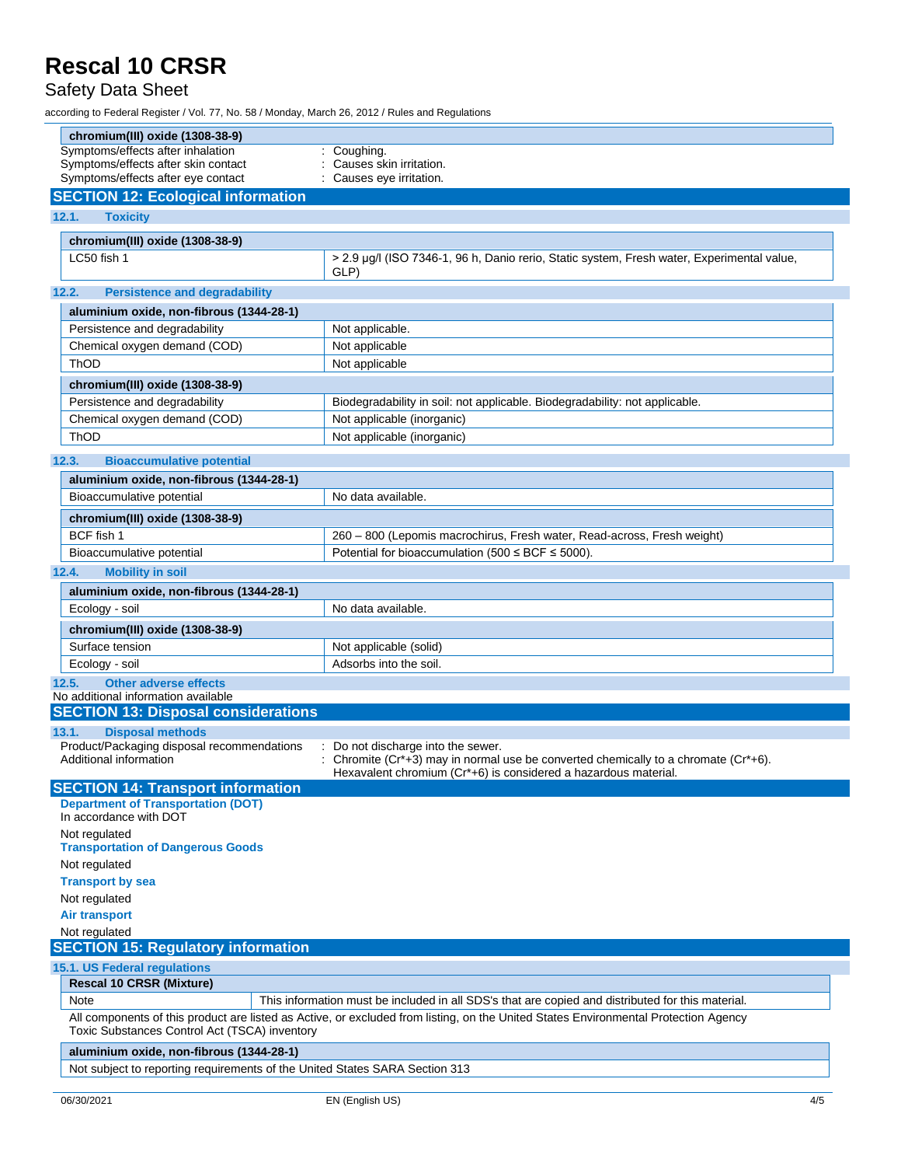#### Safety Data Sheet

according to Federal Register / Vol. 77, No. 58 / Monday, March 26, 2012 / Rules and Regulations

| chromium(III) oxide (1308-38-9)                                              |                                                                                                                                                        |
|------------------------------------------------------------------------------|--------------------------------------------------------------------------------------------------------------------------------------------------------|
| Symptoms/effects after inhalation                                            | : Coughing.                                                                                                                                            |
| Symptoms/effects after skin contact                                          | Causes skin irritation.                                                                                                                                |
| Symptoms/effects after eye contact                                           | : Causes eye irritation.                                                                                                                               |
| <b>SECTION 12: Ecological information</b>                                    |                                                                                                                                                        |
| 12.1.<br><b>Toxicity</b>                                                     |                                                                                                                                                        |
| chromium(III) oxide (1308-38-9)                                              |                                                                                                                                                        |
| LC50 fish 1                                                                  | > 2.9 µg/l (ISO 7346-1, 96 h, Danio rerio, Static system, Fresh water, Experimental value,<br>GLP)                                                     |
| 12.2.<br><b>Persistence and degradability</b>                                |                                                                                                                                                        |
| aluminium oxide, non-fibrous (1344-28-1)                                     |                                                                                                                                                        |
| Persistence and degradability                                                | Not applicable.                                                                                                                                        |
| Chemical oxygen demand (COD)                                                 | Not applicable                                                                                                                                         |
| ThOD                                                                         | Not applicable                                                                                                                                         |
| chromium(III) oxide (1308-38-9)                                              |                                                                                                                                                        |
| Persistence and degradability                                                | Biodegradability in soil: not applicable. Biodegradability: not applicable.                                                                            |
| Chemical oxygen demand (COD)                                                 | Not applicable (inorganic)                                                                                                                             |
| ThOD                                                                         | Not applicable (inorganic)                                                                                                                             |
| 12.3.<br><b>Bioaccumulative potential</b>                                    |                                                                                                                                                        |
| aluminium oxide, non-fibrous (1344-28-1)                                     |                                                                                                                                                        |
| Bioaccumulative potential                                                    | No data available.                                                                                                                                     |
|                                                                              |                                                                                                                                                        |
| chromium(III) oxide (1308-38-9)<br>BCF fish 1                                | 260 - 800 (Lepomis macrochirus, Fresh water, Read-across, Fresh weight)                                                                                |
| Bioaccumulative potential                                                    | Potential for bioaccumulation (500 $\leq$ BCF $\leq$ 5000).                                                                                            |
|                                                                              |                                                                                                                                                        |
| 12.4.<br><b>Mobility in soil</b>                                             |                                                                                                                                                        |
| aluminium oxide, non-fibrous (1344-28-1)                                     |                                                                                                                                                        |
| Ecology - soil                                                               | No data available.                                                                                                                                     |
| chromium(III) oxide (1308-38-9)                                              |                                                                                                                                                        |
| Surface tension                                                              | Not applicable (solid)                                                                                                                                 |
| Ecology - soil                                                               | Adsorbs into the soil.                                                                                                                                 |
| <b>Other adverse effects</b><br>12.5.<br>No additional information available |                                                                                                                                                        |
| <b>SECTION 13: Disposal considerations</b>                                   |                                                                                                                                                        |
| <b>Disposal methods</b><br>13.1.                                             |                                                                                                                                                        |
| Product/Packaging disposal recommendations                                   | : Do not discharge into the sewer.                                                                                                                     |
| Additional information                                                       | : Chromite (Cr*+3) may in normal use be converted chemically to a chromate (Cr*+6).<br>Hexavalent chromium (Cr*+6) is considered a hazardous material. |
| <b>SECTION 14: Transport information</b>                                     |                                                                                                                                                        |
| <b>Department of Transportation (DOT)</b>                                    |                                                                                                                                                        |
| In accordance with DOT                                                       |                                                                                                                                                        |
| Not regulated<br><b>Transportation of Dangerous Goods</b>                    |                                                                                                                                                        |
| Not regulated                                                                |                                                                                                                                                        |
| <b>Transport by sea</b>                                                      |                                                                                                                                                        |
| Not regulated                                                                |                                                                                                                                                        |
| <b>Air transport</b>                                                         |                                                                                                                                                        |
| Not regulated                                                                |                                                                                                                                                        |
| <b>SECTION 15: Regulatory information</b>                                    |                                                                                                                                                        |
| 15.1. US Federal regulations                                                 |                                                                                                                                                        |
| <b>Rescal 10 CRSR (Mixture)</b>                                              |                                                                                                                                                        |
| Note                                                                         | This information must be included in all SDS's that are copied and distributed for this material.                                                      |
| Toxic Substances Control Act (TSCA) inventory                                | All components of this product are listed as Active, or excluded from listing, on the United States Environmental Protection Agency                    |
| aluminium oxide, non-fibrous (1344-28-1)                                     |                                                                                                                                                        |
| Not subject to reporting requirements of the United States SARA Section 313  |                                                                                                                                                        |